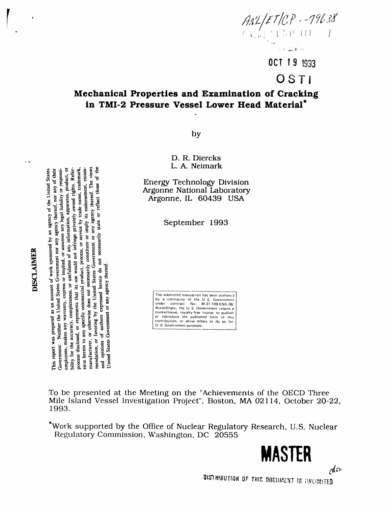

OCT 19 1993

# OSTI

# Mechanical Properties and Examination of Cracking in TMI-2 Pressure Vessel Lower Head Material\*

by

D. R. Diercks L. A. Neimark

**Energy Technology Division** Argonne National Laboratory Argonne, IL 60439 USA

September 1993

The submitted manuscript has been authored<br>by a contractor of the U.S. Government<br>under contract No. W-31-109-ENG-38.<br>Accordingly, the U.S. Government retains a<br>nonexclusive, royalty-free license to publish. or reproduce the published form of this<br>contribution, or allow others to do so, for U. S. Government purposes.

To be presented at the Meeting on the "Achievements of the OECD Three Mile Island Vessel Investigation Project", Boston, MA 02114, October 20-22, 1993.

\*Work supported by the Office of Nuclear Regulatory Research, U.S. Nuclear Regulatory Commission, Washington, DC 20555

MASTER

 $\mathcal{A}$ a-

bility for the accuracy, completeness, or uscfulness of any information, apparatus, product, or process disclosed, or represents that its use would not infringe privately owned rights. Reference by trademark, efference herein to any specific commercial product, process, or service by trade name, trademark, Government. Neither the United States Government nor any agency thereof, nor any of their employees, makes any warranty, express or implied, or assumes any legal liability or responsimanufacturer, or otherwise does not necessarily constitute or imply its endorsement, recom-This report was prepared as an account of work sponsored by an agency of the United States **DISCLAIMER** 

mendation, or favoring by the United States Government or any agency thereof. The views

and opinions of authors expressed herein do not necessarily state or reflect those

United States Government or any agency thereof.

 $\ddot{\phantom{1}}$ 

DISTHIBUTION OF THIS DOCUMENT IS UNLIMITED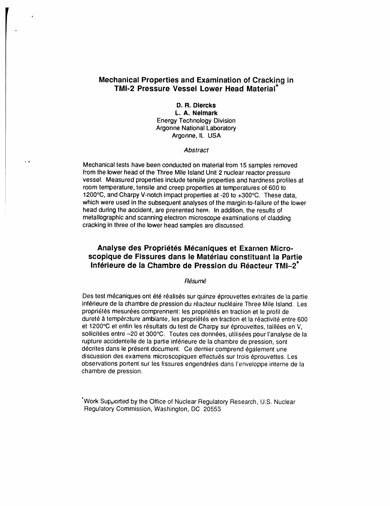## **Mechanical Properties and Examination of Cra**c**king in TMI**-**2 Pressure Vessel Lower Head Material\***

## **D**. **R. Diercks**

**L. A. Neimark EnergyTe**c**hnologyDivision** Arg**o**nne Na**t**ional L**a**bora**t**ory Argonne, IL USA

#### **Abstract**

Mechanical tests have been conducted on material from 15 samples removed from the lower head of the Three Mile Island Unit 2 nuclear reactor p**r**essure vessel. Measured properties include tensile properties and hardness profiles at room temperature, tensile and creep properties at temperatures of 600 to 1200°C, and Charpy V-notch impact proper**t**ies at -20 to +300°C. These data, which were used in the subsequent analyses of the margin-to-failure of the lower head during the accident, are presented her**e**.. In addition, the results of metallographic and scanning electron microscope examinations of cladding cracking in three of the lower head samples are discussed.

## **Analyse des Proprietes Mecaniques et Exa**m**en Microscopique de Fissures dans le Mat**6**riau constitua**n**t la Partie Inférieure de la Chambre de Pression du Réacteur TMI-2<sup>\*</sup>**

### Résumé

Des test mécaniques ont été réalisés sur quinze éprouvettes extraites de la partie inférieure de la chambre de pression du réacteur nucléaire Three Mile Island. Les propriétés mesurées comprennent: les propriétés en traction et le profil de dureté à température ambiante, les propriétés en traction et la réactivité entre 600 et 1200°C et enfin les résultats du test de Charpy sur éprouvettes, taillées en V, sollicitées entre -20 et 300°C. Toutes ces données, utilisées pour l'analyse de la rupture accidentelle de la partie inférieure de la chambre de pression, sont décrites dans le présent document. Ce dernier comprend également une discussion des examens microscopiques effectués sur trois éprouvettes. Les observations portent sur les fissures engendrées dans l'enveloppe interne de la chambre de pression.

\*Work Supported by the Office of Nuclear Regulatory Research, U.S. Nuclear Regulatory Commission, Washington, DC 20555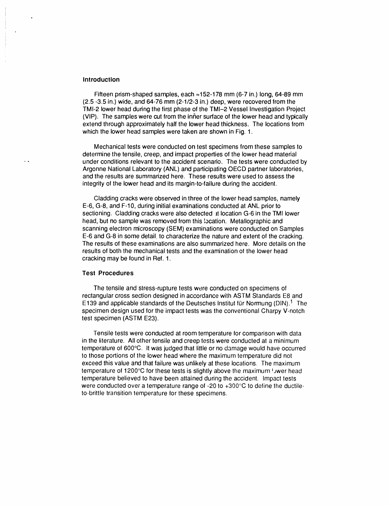#### **Introduction**

Fifteen prism-s**h**aped samples, eac**h** =152-**1**78 mm (6-7 **i**n.) long, 64-89 mm (2.5 -3.5 in.) wide, and 64-76 mm (2-1/2-3 in.) deep, were recovered from the TMI-2 lower head during the first phase of the TMI-2 Vessel Investigation Project (VIP). The samples were cut from the inner surface of the lower head and typically extend through approximately half the lower head thickness. The loca**t**ions from which the lower head samples were taken are shown in Fig. 1.

Mechanical tests were conducted on test specimens from these samples to determine the tensile, creep, and impact properties of the lower head material under conditions relevant to the accident scenario. The tests were conducted by Argonne Na**t**ional Laboratory (ANL) and participating OECD partner laboratories, and the results are summarized here. These results were used to assess the integrity of the lower head and its margin-to-failure during the accident.

Cladding crackswere observed inthree of the lower head samples, namely E-6, G-8, and F-10, during initial examinations conducted at ANL prior to sectioning. Cladding cracks were also detected at location G-6 in the TMI lower head, but no sample was removed from this {ocation. Metallographic and scanning elec**t**ron microscopy (SEM) examinations were conducted on Samples E-6 and G-8 in some detail, to characterize the nature and extent of the cracking. The results of these examinations are also summarized here. More details on the results of both the mechanical tests and the examination of the lower head cracking may be found in Ref. 1.

#### Test Procedure**s**

The tensile and stress-rupture tests were conducted on specimens of rectangular cross section designed in accordance with ASTM Standards E8 and E139 and applicable standards of the Deutsches Institut für Normung (DIN).<sup>1</sup> The specimen design used for the impact tests was the conventional Charpy V-notch test specimen (ASTM E23).

Tensile tests were conducted at room temperature for comparison with data in the literature. All other tensile and creep tests were conducted at a minimum temperature of 600°C. It was judged that little or no damage would have occurred to those portions of the lower head where the maximum temperature did not exceed this value and that failure was unlikely at these locations. The maximum temperature of 1200°C for these tests is slightly above the maximum <sup>J</sup>ywer head temperature believed to have been attained during the accident. Impact tests were conducted over a temperature range of -20 to +300°C to define the ductileto-brittle transition temperature for these specimens.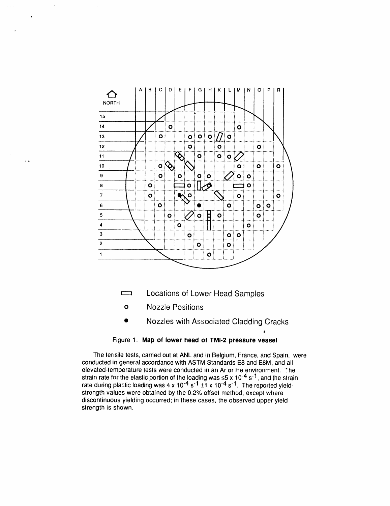

- Locations of Lower Head Samples  $\qquad \qquad \qquad \Box$
- **Nozzle Positions**  $\bullet$

 $\ddot{\phantom{0}}$ 

Nozzles with Associated Cladding Cracks

## Figure 1. Map of lower head of TMI-2 pressure vessel

The terisile tests, carried out at ANL and in Belgium, France, and Spain, were conducted in general accordance with ASTM Standards E8 and E8M, and all elevated-temperature tests were conducted in an Ar or He environment. The strain rate for the elastic portion of the loading was  $\leq$ 5 x 10<sup>-4</sup> s<sup>-1</sup>, and the strain rate during plactic loading was 4 x 10<sup>-4</sup> s<sup>-1</sup> ±1 x 10<sup>-4</sup> s<sup>-1</sup>. The reported yieldstrength values were obtained by the 0.2% offset method, except where discontinuous yielding occurred; in these cases, the observed upper yield strength is shown.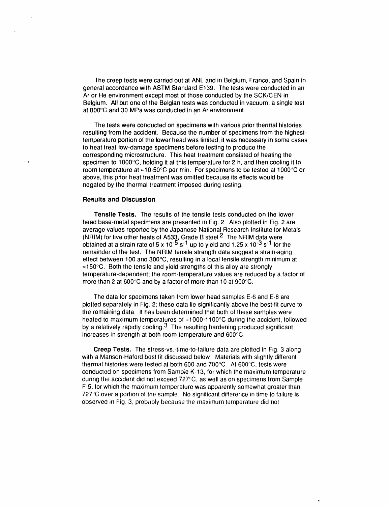The creep tests were carried out at ANL and in Belgium, France, and Spain in general accordance with ASTM Standard E139. The tests were conducted in an Ar or He environment except most of those conducted by the SCK/CEN in Belgium. All but one of the Belglan tests was conducted in vacuum; a single test at 800°C and 30 MPa was conducted in an Ar environment.

The tests were conducted on specimens with various prior thermal histories resulting from the accident. Because the number of specimens from the highesttemperature portion of the lower head was limited, it was necessary in some cases to heat treat low-damage specimens before testing to produce the corresponding microstructure. This heal treatment consisted of heating lhe **. -** specimen to 1000°C, holding it at this **t**emperature**f**or 2 h, and then cooling it to room temperature at  $\approx$  10-50°C per min. For specimens to be tested at 1000°C or above, this prior heat treatment was omitted because i**t**s effects would be negated by the thermal treatment imposed during l'esting.

#### **Results** a**nd Discussion**

**Tens**i**le Tests**. The resul**t**s of **t**he **t**ensile tests conducted on the lower head base-melal specimens are presented in Fig, 2. Also plotted in Fig. 2 are average values reported by the Japanese National Research Institute for Metals (NRIM) **f**or five other heats of A533, Grade B steel.2 The NRIM data were **o**b**t**aineda**t** a strain ra**t**eof 5 x 10.5 s1 up to yield and 1.25 x 103 s1 for the remainder of the test. The NRIM tensile strength data suggest a strain-aging effect between 100 and 300°C, resulting in a local tensile strength minimum at  $\approx$  150°C. Both the tensile and yield strengths of this alloy are strongly temperature.dependent; the room-temperature values are reduced by a factor o**l** more than 2 at 600°C and by a factor of more than 10 at 900°C.

The data for specimenstaken from lower head samples E-6 and E**-**8 are plotted separa**t**ely in Fig**,** 2; these da**l**a lie significantly above the best-fit curve to the remaining data. It has been determined that both of lhese samples were heated to maximum temperatures of  $\approx$ 1000-1100°C during the accident, followed by a rela**l**ively rapidly cooling.3 The resulting hardening produced signi**f**icant increases in s**t**rength a**t** both room temperature and 600°C**.**

**C**reep Tests. The stress-vs.-time-to-**f**ailure data are plotted in Fig**,** 3 along with a Manson-Haferd best **l**it discussed below. Materials with slightly different thermal histories were tested at both 600 and 700°C. At 600°C, tests were conducted on specimens lrom Sampie K-13, for which the maximum temperature during lhe accident did nol exceed 727"C, as well as on specimens**f**rom Sample F-5, for which the maximum temperature was apparentlysomewhat greater than 727°C over a portion of the sample. No significant difference in time to failure is observed in Fig. 3, probably because lhe maximurn lemperalure did not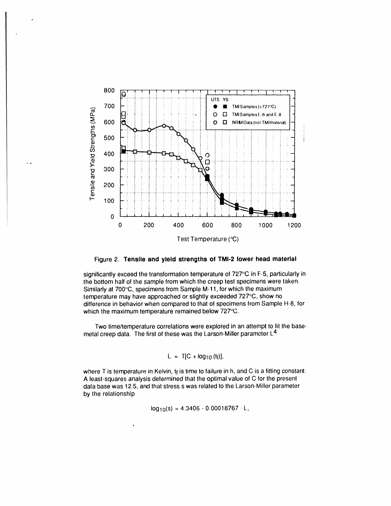

Figure 2. Tensile and yield strengths of TMI-2 lower head material

significantly exceed the transformation temperature of 727°C in F-5, particularly in the bottom half of the sample from which the creep test specimens were taken. Similarly at 700°C, specimens from Sample M-11, for which the maximum temperature may have approached or slightly exceeded 727°C, show no difference in behavior when compared to that of specimens from Sample H-8, for which the maximum temperature remained below 727°C.

Two time/temperature correlations were explored in an attempt to fit the basemetal creep data. The first of these was the Larson-Miller parameter  $L^4$ 

$$
L = T[C + log10(ti)],
$$

where T is temperature in Kelvin, tr is time to failure in h, and C is a fitting constant. A least-squares analysis determined that the optimal value of C for the present data base was 12.5, and that stress s was related to the Larson-Miller parameter by the relationship

 $log_{10}(s) = 4.3406 - 0.00018767 \cdot L$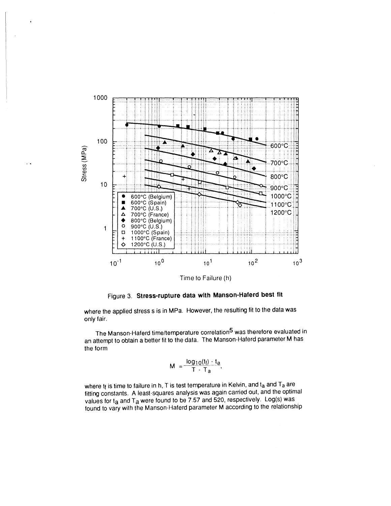

Figure 3. Stress-rupture data with Manson-Haferd best fit

where the applied stress s is in MPa. However, the resulting fit to the data was only fair.

The Manson-Haferd time/temperature correlation<sup>5</sup> was therefore evaluated in an attempt to obtain a better fit to the data. The Manson-Haferd parameter M has the form

$$
M = \frac{\log_{10}(t_i) - t_a}{T - T_a}
$$

where tr is time to failure in h, T is test temperature in Kelvin, and t<sub>a</sub> and T<sub>a</sub> are fitting constants. A least-squares analysis was again carried out, and the optimal values for ta and Ta were found to be 7.57 and 520, respectively. Log(s) was found to vary with the Manson-Haferd parameter M according to the relationship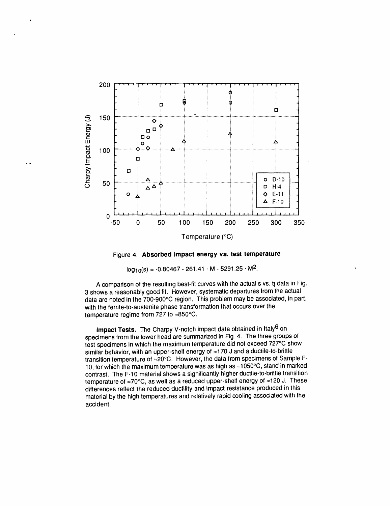

Figure 4. Absorbed impact energy vs. test temperature

 $log_{10}(s) = -0.80467 - 261.41 \cdot M - 5291.25 \cdot M^2$ .

A comparison of the resulting best-fit curves with the actual s vs. tr data in Fig. 3 shows a reasonably good fit. However, systematic departures from the actual data are noted in the 700-900°C region. This problem may be associated, in part, with the ferrite-to-austenite phase transformation that occurs over the temperature regime from 727 to ≈850°C.

Impact Tests. The Charpy V-notch impact data obtained in Italy<sup>6</sup> on specimens from the lower head are summarized in Fig. 4. The three groups of test specimens in which the maximum temperature did not exceed 727°C show similar behavior, with an upper-shelf energy of ≈170 J and a ductile-to-brittle transition temperature of =20°C. However, the data from specimens of Sample F-10, for which the maximum temperature was as high as ≈1050°C, stand in marked contrast. The F-10 material shows a significantly higher ductile-to-brittle transition temperature of ≈70°C, as well as a reduced upper-shelf energy of ≈120 J. These differences reflect the reduced ductility and impact resistance produced in this material by the high temperatures and relatively rapid cooling associated with the accident.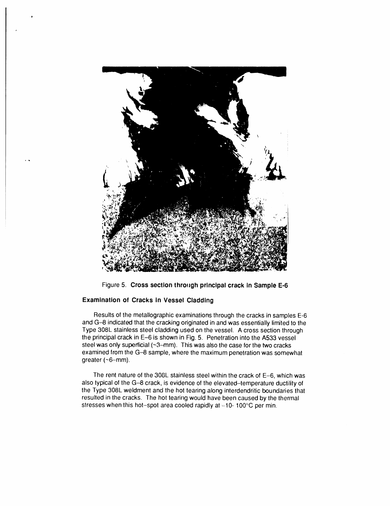

Figure 5. Cross section through principal crack in Sample E-6

## **Examination of Cracks in Vessel Cladding**

Results of the metallographic examinations through the cracks in samples E-6 and G-8 indicated that the cracking originated in and was essentially limited to the Type 308L stainless steel cladding used on the vessel. A cross section through the principal crack in E-6 is shown in Fig. 5. Penetration into the A533 vessel steel was only superficial (~3-mm). This was also the case for the two cracks examined from the G-8 sample, where the maximum penetration was somewhat greater (~6-mm).

The rent nature of the 308L stainless steel within the crack of E-6, which was also typical of the G-8 crack, is evidence of the elevated-temperature ductility of the Type 308L weldment and the hot tearing along interdendritic boundaries that resulted in the cracks. The hot tearing would have been caused by the thermal stresses when this hot-spot area cooled rapidly at  $\simeq$ 10-100 $\degree$ C per min.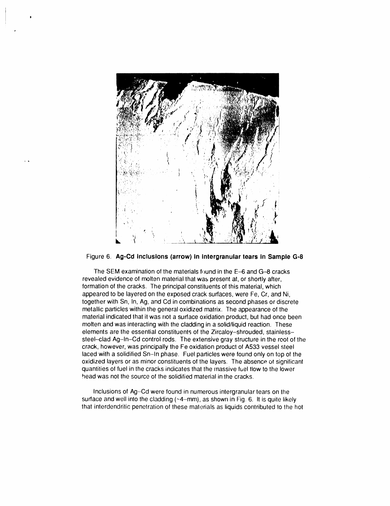



The SEM examination of the materials found in the E-6 and G-8 cracks revealed evidence of molten material that was present at, or shortly after, formation of the cracks. The principal constituents of this material, which appeared to be layered on the exposed crack surfaces, were Fe, Cr, and Ni, together with Sn, In, Ag, and Cd in combinations as second phases or discrete metallic particles within the general oxidized matrix. The appearance of the material indicated that it was not a surface oxidation product, but had once been molten and was interacting with the cladding in a solid/liquid reaction. These elements are the essential constituents of the Zircaloy-shrouded, stainlesssteel-clad Ag-In-Cd control rods. The extensive gray structure in the root of the crack, however, was principally the Fe oxidation product of A533 vessel steel laced with a solidified Sn-In phase. Fuel particles were found only on top of the oxidized layers or as minor constituents of the layers. The absence of significant quantities of fuel in the cracks indicates that the massive fuel flow to the lower head was not the source of the solidified material in the cracks.

Inclusions of Ag-Cd were found in numerous intergranular tears on the surface and well into the cladding  $(\sim 4 - mm)$ , as shown in Fig. 6. It is quite likely that interdendritic penetration of these materials as liquids contributed to the hot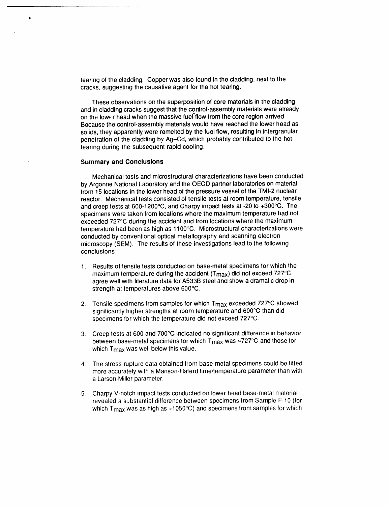tearing of the cladding. Copper was also found in the cladding, next to the cracks, suggesting the causative agent for the hot tearing.

These observations on the superposition of core materials in the cladding and in cladding cracks suggest that the control-assembly materials were already on the lower head when the massive fuel flow from the core region arrived. Because the control-assembly materials would have reached the lower head as solids, they apparently were remelted by the fuel flow, resulting in intergranular penetration of the cladding by Ag-Cd, which probably contributed to the hot tearing during the subsequent rapid cooling.

### **Summary and Conclusions**

 $\bullet$ 

Mechanical tests and microstructural characterizations have been conducted by Argonne National Laboratory and the OECD partner laboratories on material from 15 locations in the lower head of the pressure vessel of the TMI-2 nuclear reactor. Mechanical tests consisted of tensile tests at room temperature, tensile and creep tests at 600-1200°C, and Charpy impact tests at -20 to +300°C. The specimens were taken from locations where the maximum temperature had not exceeded 727°C during the accident and from locations where the maximum temperature had been as high as 1100°C. Microstructural characterizations were conducted by conventional optical metallography and scanning electron microscopy (SEM). The results of these investigations lead to the following conclusions:

- 1. Results of tensile tests conducted on base-metal specimens for which the maximum temperature during the accident ( $T_{\text{max}}$ ) did not exceed 727 $\textdegree$ C agree well with literature data for A533B steel and show a dramatic drop in strength at temperatures above 600°C.
- 2. Tensile specimens from samples for which T<sub>max</sub> exceeded 727°C showed significantly higher strengths at room temperature and 600°C than did specimens for which the temperature did not exceed 727°C.
- 3. Creep tests at 600 and 700°C indicated no significant difference in behavior between base-metal specimens for which  $T_{\text{max}}$  was  $\approx$ 727°C and those for which T<sub>max</sub> was well below this value.
- The stress-rupture data obtained from base-metal specimens could be fitted  $\mathbf{4}$ more accurately with a Manson-Haferd time/temperature parameter than with a Larson-Miller parameter.
- 5. Charpy V-notch impact tests conducted on lower head base-metal material revealed a substantial difference between specimens from Sample F-10 (for which  $T_{\text{max}}$  was as high as  $\approx$ 1050°C) and specimens from samples for which